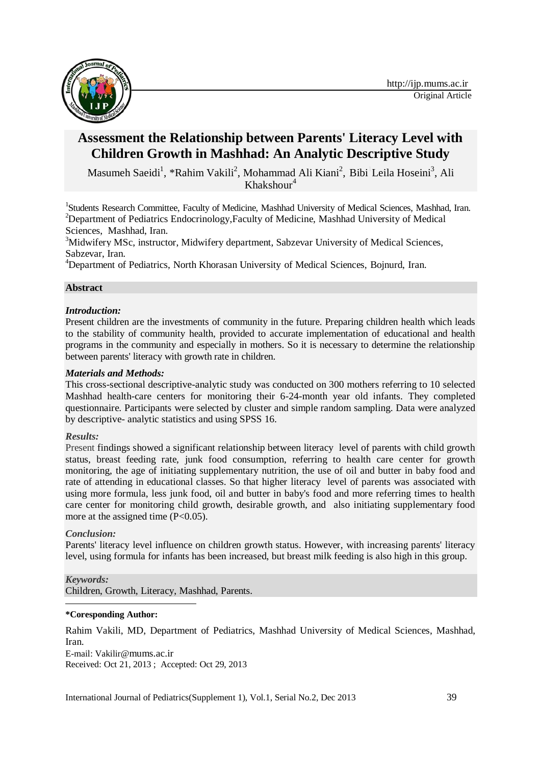

# **Assessment the Relationship between Parents' Literacy Level with Children Growth in Mashhad: An Analytic Descriptive Study**

Masumeh Saeidi<sup>1</sup>, \*Rahim Vakili<sup>2</sup>, Mohammad Ali Kiani<sup>2</sup>, Bibi Leila Hoseini<sup>3</sup>, Ali Khakshour $4$ 

<sup>1</sup>Students Research Committee, Faculty of Medicine, Mashhad University of Medical Sciences, Mashhad, Iran. <sup>2</sup>Department of Pediatrics Endocrinology, Faculty of Medicine, Mashhad University of Medical Sciences, Mashhad, Iran.

<sup>3</sup>Midwifery MSc, instructor, Midwifery department, Sabzevar University of Medical Sciences, Sabzevar, Iran.

<sup>4</sup>Department of Pediatrics, North Khorasan University of Medical Sciences, Bojnurd, Iran.

### **Abstract**

### *Introduction:*

Present children are the investments of community in the future. Preparing children health which leads to the stability of community health, provided to accurate implementation of educational and health programs in the community and especially in mothers. So it is necessary to determine the relationship between parents' literacy with growth rate in children.

### *Materials and Methods:*

This cross-sectional descriptive-analytic study was conducted on 300 mothers referring to 10 selected Mashhad health-care centers for monitoring their 6-24-month year old infants. They completed questionnaire. Participants were selected by cluster and simple random sampling. Data were analyzed by descriptive- analytic statistics and using SPSS 16.

#### *Results:*

Present findings showed a significant relationship between literacy level of parents with child growth status, breast feeding rate, junk food consumption, referring to health care center for growth monitoring, the age of initiating supplementary nutrition, the use of oil and butter in baby food and rate of attending in educational classes. So that higher literacy level of parents was associated with using more formula, less junk food, oil and butter in baby's food and more referring times to health care center for monitoring child growth, desirable growth, and also initiating supplementary food more at the assigned time  $(P<0.05)$ .

### *Conclusion:*

Parents' literacy level influence on children growth status. However, with increasing parents' literacy level, using formula for infants has been increased, but breast milk feeding is also high in this group.

#### *Keywords:*

Children, Growth, Literacy, Mashhad, Parents.

#### **. \*Coresponding Author:**

Rahim Vakili, MD, Department of Pediatrics, Mashhad University of Medical Sciences, Mashhad, Iran.

E-mail[: Vakilir@](mailto:Vakilir@)mums.ac.ir Received: Oct 21, 2013 ; Accepted: Oct 29, 2013

International Journal of Pediatrics(Supplement 1), Vol.1, Serial No.2, Dec 2013 39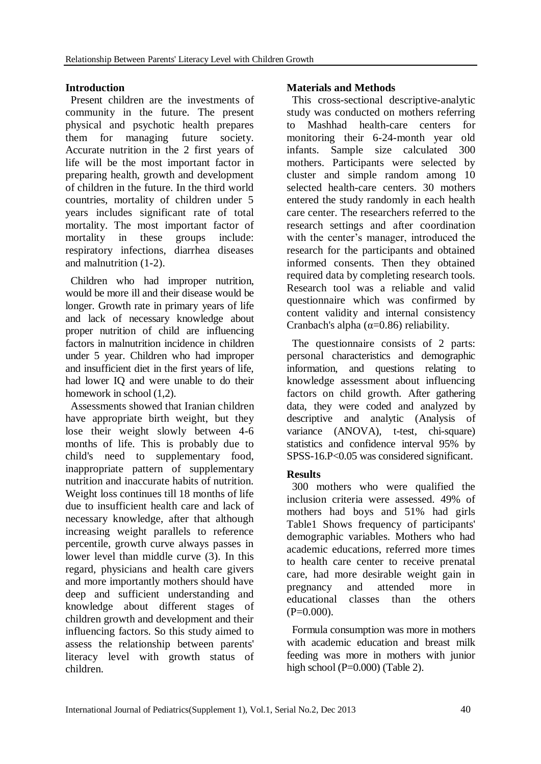# **Introduction**

Present children are the investments of community in the future. The present physical and psychotic health prepares them for managing future society. Accurate nutrition in the 2 first years of life will be the most important factor in preparing health, growth and development of children in the future. In the third world countries, mortality of children under 5 years includes significant rate of total mortality. The most important factor of mortality in these groups include: respiratory infections, diarrhea diseases and malnutrition (1-2).

Children who had improper nutrition, would be more ill and their disease would be longer. Growth rate in primary years of life and lack of necessary knowledge about proper nutrition of child are influencing factors in malnutrition incidence in children under 5 year. Children who had improper and insufficient diet in the first years of life, had lower IQ and were unable to do their homework in school  $(1,2)$ .

Assessments showed that Iranian children have appropriate birth weight, but they lose their weight slowly between 4-6 months of life. This is probably due to child's need to supplementary food, inappropriate pattern of supplementary nutrition and inaccurate habits of nutrition. Weight loss continues till 18 months of life due to insufficient health care and lack of necessary knowledge, after that although increasing weight parallels to reference percentile, growth curve always passes in lower level than middle curve (3). In this regard, physicians and health care givers and more importantly mothers should have deep and sufficient understanding and knowledge about different stages of children growth and development and their influencing factors. So this study aimed to assess the relationship between parents' literacy level with growth status of children.

# **Materials and Methods**

This cross-sectional descriptive-analytic study was conducted on mothers referring to Mashhad health-care centers for monitoring their 6-24-month year old infants. Sample size calculated 300 mothers. Participants were selected by cluster and simple random among 10 selected health-care centers. 30 mothers entered the study randomly in each health care center. The researchers referred to the research settings and after coordination with the center's manager, introduced the research for the participants and obtained informed consents. Then they obtained required data by completing research tools. Research tool was a reliable and valid questionnaire which was confirmed by content validity and internal consistency Cranbach's alpha ( $\alpha$ =0.86) reliability.

The questionnaire consists of 2 parts: personal characteristics and demographic information, and questions relating to knowledge assessment about influencing factors on child growth. After gathering data, they were coded and analyzed by descriptive and analytic (Analysis of variance (ANOVA), t-test, chi-square) statistics and confidence interval 95% by SPSS-16.P<0.05 was considered significant.

# **Results**

300 mothers who were qualified the inclusion criteria were assessed. 49% of mothers had boys and 51% had girls Table1 Shows frequency of participants' demographic variables. Mothers who had academic educations, referred more times to health care center to receive prenatal care, had more desirable weight gain in pregnancy and attended more in educational classes than the others  $(P=0.000)$ .

Formula consumption was more in mothers with academic education and breast milk feeding was more in mothers with junior high school ( $P=0.000$ ) (Table 2).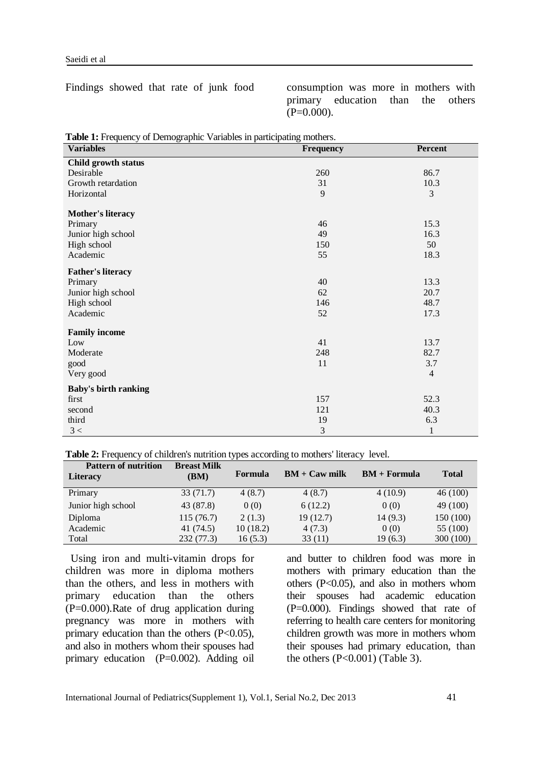Findings showed that rate of junk food consumption was more in mothers with primary education than the others  $(P=0.000)$ .

| <b>Variables</b>            | Frequency      | Percent        |
|-----------------------------|----------------|----------------|
| Child growth status         |                |                |
| Desirable                   | 260            | 86.7           |
| Growth retardation          | 31             | 10.3           |
| Horizontal                  | 9              | $\mathfrak{Z}$ |
| <b>Mother's literacy</b>    |                |                |
| Primary                     | 46             | 15.3           |
| Junior high school          | 49             | 16.3           |
| High school                 | 150            | 50             |
| Academic                    | 55             | 18.3           |
| <b>Father's literacy</b>    |                |                |
| Primary                     | 40             | 13.3           |
| Junior high school          | 62             | 20.7           |
| High school                 | 146            | 48.7           |
| Academic                    | 52             | 17.3           |
| <b>Family income</b>        |                |                |
| Low                         | 41             | 13.7           |
| Moderate                    | 248            | 82.7           |
| good                        | 11             | 3.7            |
| Very good                   |                | $\overline{4}$ |
| <b>Baby's birth ranking</b> |                |                |
| first                       | 157            | 52.3           |
| second                      | 121            | 40.3           |
| third                       | 19             | 6.3            |
| 3 <                         | $\mathfrak{Z}$ | $\mathbf{1}$   |

**Table 1:** Frequency of Demographic Variables in participating mothers.

|  | Table 2: Frequency of children's nutrition types according to mothers' literacy level. |  |
|--|----------------------------------------------------------------------------------------|--|
|  |                                                                                        |  |

| <b>Pattern of nutrition</b><br><b>Literacy</b> | <b>Breast Milk</b><br>(BM) | Formula  | $BM + Caw$ milk | $BM + Formula$ | Total     |
|------------------------------------------------|----------------------------|----------|-----------------|----------------|-----------|
| Primary                                        | 33 (71.7)                  | 4(8.7)   | 4(8.7)          | 4(10.9)        | 46(100)   |
| Junior high school                             | 43 (87.8)                  | 0(0)     | 6(12.2)         | 0(0)           | 49 (100)  |
| Diploma                                        | 115(76.7)                  | 2(1.3)   | 19(12.7)        | 14(9.3)        | 150 (100) |
| Academic                                       | 41 (74.5)                  | 10(18.2) | 4(7.3)          | 0(0)           | 55 (100)  |
| Total                                          | 232(77.3)                  | 16(5.3)  | 33(11)          | 19(6.3)        | 300(100)  |

Using iron and multi-vitamin drops for children was more in diploma mothers than the others, and less in mothers with primary education than the others (P=0.000).Rate of drug application during pregnancy was more in mothers with primary education than the others  $(P<0.05)$ , and also in mothers whom their spouses had primary education (P=0.002). Adding oil

and butter to children food was more in mothers with primary education than the others (P<0.05), and also in mothers whom their spouses had academic education (P=0.000). Findings showed that rate of referring to health care centers for monitoring children growth was more in mothers whom their spouses had primary education, than the others  $(P<0.001)$  (Table 3).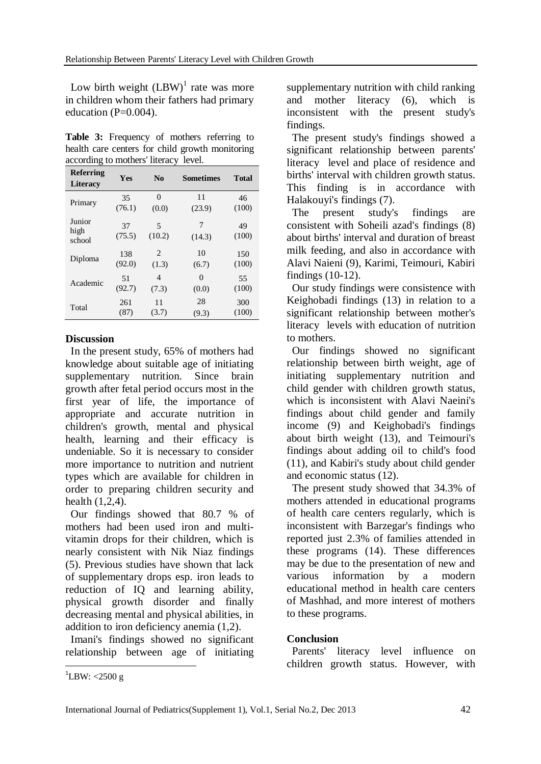Low birth weight  $(LBW)^{1}$  rate was more in children whom their fathers had primary education  $(P=0.004)$ .

Table 3: Frequency of mothers referring to health care centers for child growth monitoring according to mothers' literacy level.

| <b>Referring</b><br><b>Literacy</b> | Yes          | $\mathbf{N}\mathbf{0}$ | <b>Sometimes</b> | <b>Total</b> |
|-------------------------------------|--------------|------------------------|------------------|--------------|
| Primary                             | 35           | $\theta$               | 11               | 46           |
|                                     | (76.1)       | (0.0)                  | (23.9)           | (100)        |
| Junior<br>high<br>school            | 37<br>(75.5) | 5<br>(10.2)            | 7<br>(14.3)      | 49<br>(100)  |
| Diploma                             | 138          | $\mathfrak{D}$         | 10               | 150          |
|                                     | (92.0)       | (1.3)                  | (6.7)            | (100)        |
| Academic                            | 51           | 4                      | $\Omega$         | 55           |
|                                     | (92.7)       | (7.3)                  | (0.0)            | (100)        |
| Total                               | 261          | 11                     | 28               | 300          |
|                                     | (87)         | (3.7)                  | (9.3)            | (100)        |

# **Discussion**

 In the present study, 65% of mothers had knowledge about suitable age of initiating supplementary nutrition. Since brain growth after fetal period occurs most in the first year of life, the importance of appropriate and accurate nutrition in children's growth, mental and physical health, learning and their efficacy is undeniable. So it is necessary to consider more importance to nutrition and nutrient types which are available for children in order to preparing children security and health (1,2,4).

Our findings showed that 80.7 % of mothers had been used iron and multivitamin drops for their children, which is nearly consistent with Nik Niaz findings (5). Previous studies have shown that lack of supplementary drops esp. iron leads to reduction of IQ and learning ability, physical growth disorder and finally decreasing mental and physical abilities, in addition to iron deficiency anemia (1,2).

Imani's findings showed no significant relationship between age of initiating supplementary nutrition with child ranking and mother literacy (6), which is inconsistent with the present study's findings.

The present study's findings showed a significant relationship between parents' literacy level and place of residence and births' interval with children growth status. This finding is in accordance with Halakouyi's findings (7).

The present study's findings are consistent with Soheili azad's findings (8) about births' interval and duration of breast milk feeding, and also in accordance with Alavi Naieni (9), Karimi, Teimouri, Kabiri findings (10-12).

Our study findings were consistence with Keighobadi findings (13) in relation to a significant relationship between mother's literacy levels with education of nutrition to mothers.

Our findings showed no significant relationship between birth weight, age of initiating supplementary nutrition and child gender with children growth status, which is inconsistent with Alavi Naeini's findings about child gender and family income (9) and Keighobadi's findings about birth weight (13), and Teimouri's findings about adding oil to child's food (11), and Kabiri's study about child gender and economic status (12).

The present study showed that 34.3% of mothers attended in educational programs of health care centers regularly, which is inconsistent with Barzegar's findings who reported just 2.3% of families attended in these programs (14). These differences may be due to the presentation of new and various information by a modern educational method in health care centers of Mashhad, and more interest of mothers to these programs.

# **Conclusion**

Parents' literacy level influence on children growth status. However, with

**.** 

 $^{1}$ LBW: <2500 g